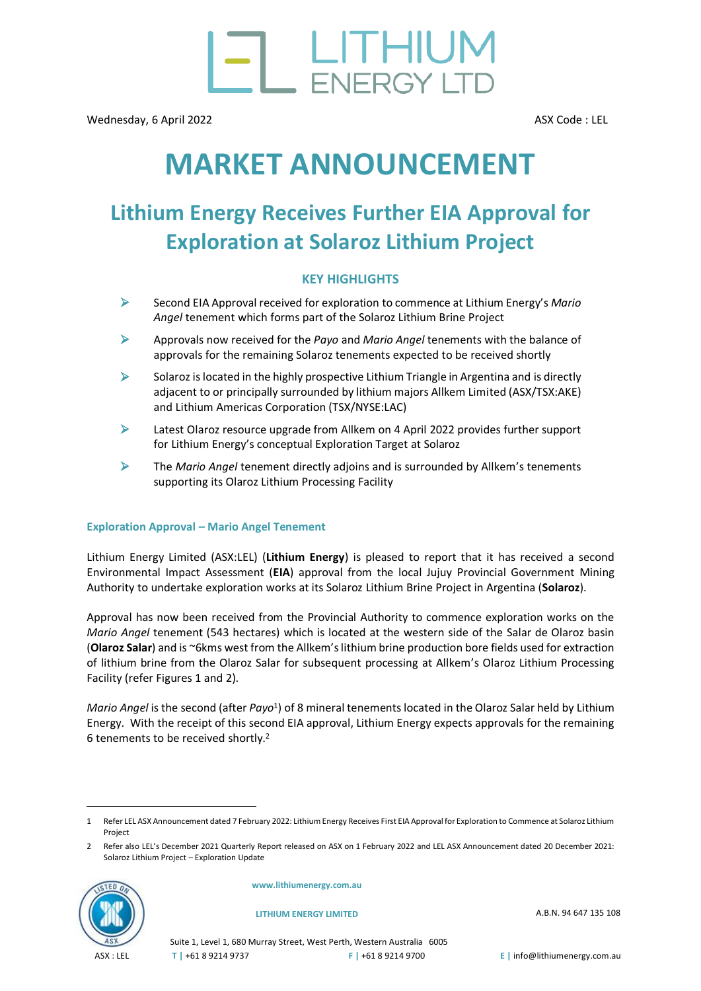

# **MARKET ANNOUNCEMENT**

## **Lithium Energy Receives Further EIA Approval for Exploration at Solaroz Lithium Project**

#### **KEY HIGHLIGHTS**

- ➢ Second EIA Approval received for exploration to commence at Lithium Energy's *Mario Angel* tenement which forms part of the Solaroz Lithium Brine Project
- ➢ Approvals now received for the *Payo* and *Mario Angel* tenements with the balance of approvals for the remaining Solaroz tenements expected to be received shortly
- $\triangleright$  Solaroz is located in the highly prospective Lithium Triangle in Argentina and is directly adjacent to or principally surrounded by lithium majors Allkem Limited (ASX/TS[X:AKE\)](http://www.asx.com.au/asx/share-price-research/company/AKE) and Lithium Americas Corporation (TSX/NYSE:LAC)
- $\triangleright$  Latest Olaroz resource upgrade from Allkem on 4 April 2022 provides further support for Lithium Energy's conceptual Exploration Target at Solaroz
- ➢ The *Mario Angel* tenement directly adjoins and is surrounded by Allkem's tenements supporting its Olaroz Lithium Processing Facility

#### **Exploration Approval – Mario Angel Tenement**

Lithium Energy Limited (ASX[:LEL\)](http://www.asx.com.au/asx/share-price-research/company/LEL) (**Lithium Energy**) is pleased to report that it has received a second Environmental Impact Assessment (**EIA**) approval from the local Jujuy Provincial Government Mining Authority to undertake exploration works at its Solaroz Lithium Brine Project in Argentina (**Solaroz**).

Approval has now been received from the Provincial Authority to commence exploration works on the *Mario Angel* tenement (543 hectares) which is located at the western side of the Salar de Olaroz basin (**Olaroz Salar**) and is ~6kms west from the Allkem's lithium brine production bore fields used for extraction of lithium brine from the Olaroz Salar for subsequent processing at Allkem's Olaroz Lithium Processing Facility (refer Figures 1 and 2).

Mario Angel is the second (after Payo<sup>1</sup>) of 8 mineral tenements located in the Olaroz Salar held by Lithium Energy. With the receipt of this second EIA approval, Lithium Energy expects approvals for the remaining 6 tenements to be received shortly. 2

<sup>2</sup> Refer also LEL's [December 2021 Quarterly Report released on ASX on 1 February 2022](https://cdn-api.markitdigital.com/apiman-gateway/ASX/asx-research/1.0/file/2924-02481705-6A1075123?access_token=83ff96335c2d45a094df02a206a39ff4) and LEL ASX Announcement date[d 20 December 2021:](https://cdn-api.markitdigital.com/apiman-gateway/ASX/asx-research/1.0/file/2924-02468782-6A1069380?access_token=83ff96335c2d45a094df02a206a39ff4)  [Solaroz Lithium Project](https://cdn-api.markitdigital.com/apiman-gateway/ASX/asx-research/1.0/file/2924-02468782-6A1069380?access_token=83ff96335c2d45a094df02a206a39ff4) – Exploration Update



**[www.lithiumenergy.com.au](https://www.lithiumenergy.com.au/)**

**LITHIUM ENERGY LIMITED** A.B.N. 94 647 135 108

Suite 1, Level 1, 680 Murray Street, West Perth, Western Australia 6005 **T |** +61 8 9214 9737 **F |** +61 8 9214 9700 **E |** info@lithiumenergy.com.au

<sup>1</sup> Refer LEL ASX Announcement date[d 7 February 2022: Lithium Energy Receives First EIA Approval for Exploration to Commence at Solaroz Lithium](https://www.asx.com.au/asx/statistics/displayAnnouncement.do?display=pdf&idsId=02483858)  [Project](https://www.asx.com.au/asx/statistics/displayAnnouncement.do?display=pdf&idsId=02483858)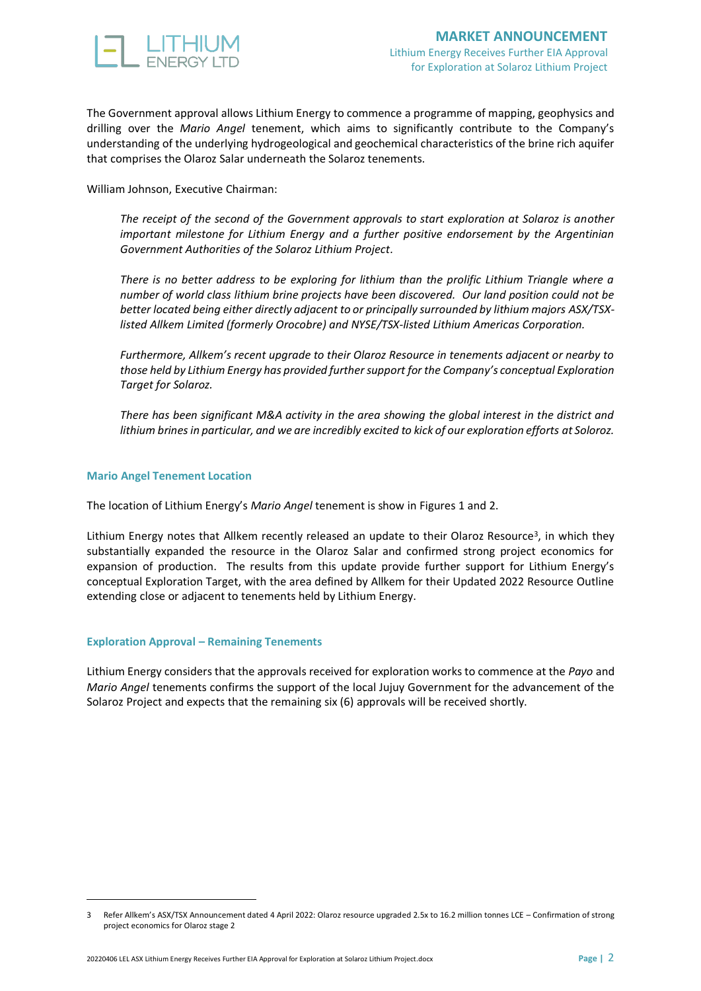

The Government approval allows Lithium Energy to commence a programme of mapping, geophysics and drilling over the *Mario Angel* tenement, which aims to significantly contribute to the Company's understanding of the underlying hydrogeological and geochemical characteristics of the brine rich aquifer that comprises the Olaroz Salar underneath the Solaroz tenements.

William Johnson, Executive Chairman:

*The receipt of the second of the Government approvals to start exploration at Solaroz is another important milestone for Lithium Energy and a further positive endorsement by the Argentinian Government Authorities of the Solaroz Lithium Project.*

*There is no better address to be exploring for lithium than the prolific Lithium Triangle where a number of world class lithium brine projects have been discovered. Our land position could not be better located being either directly adjacent to or principally surrounded by lithium majors ASX/TSXlisted Allkem Limited (formerly Orocobre) and NYSE/TSX-listed Lithium Americas Corporation.* 

*Furthermore, Allkem's recent upgrade to their Olaroz Resource in tenements adjacent or nearby to those held by Lithium Energy has provided further support for the Company's conceptual Exploration Target for Solaroz.*

*There has been significant M&A activity in the area showing the global interest in the district and lithium brines in particular, and we are incredibly excited to kick of our exploration efforts at Soloroz.*

#### **Mario Angel Tenement Location**

The location of Lithium Energy's *Mario Angel* tenement is show in Figures 1 and 2.

Lithium Energy notes that Allkem recently released an update to their Olaroz Resource<sup>3</sup>, in which they substantially expanded the resource in the Olaroz Salar and confirmed strong project economics for expansion of production. The results from this update provide further support for Lithium Energy's conceptual Exploration Target, with the area defined by Allkem for their Updated 2022 Resource Outline extending close or adjacent to tenements held by Lithium Energy.

#### **Exploration Approval – Remaining Tenements**

Lithium Energy considers that the approvals received for exploration works to commence at the *Payo* and *Mario Angel* tenements confirms the support of the local Jujuy Government for the advancement of the Solaroz Project and expects that the remaining six (6) approvals will be received shortly.

<sup>3</sup> Refer Allkem's ASX/TSX Announcement date[d 4 April 2022: Olaroz resource upgraded 2.5x to 16.2 million tonnes LCE](https://www.asx.com.au/asxpdf/20220404/pdf/457pbnyxbzs25k.pdf) – Confirmation of strong [project economics for Olaroz stage 2](https://www.asx.com.au/asxpdf/20220404/pdf/457pbnyxbzs25k.pdf)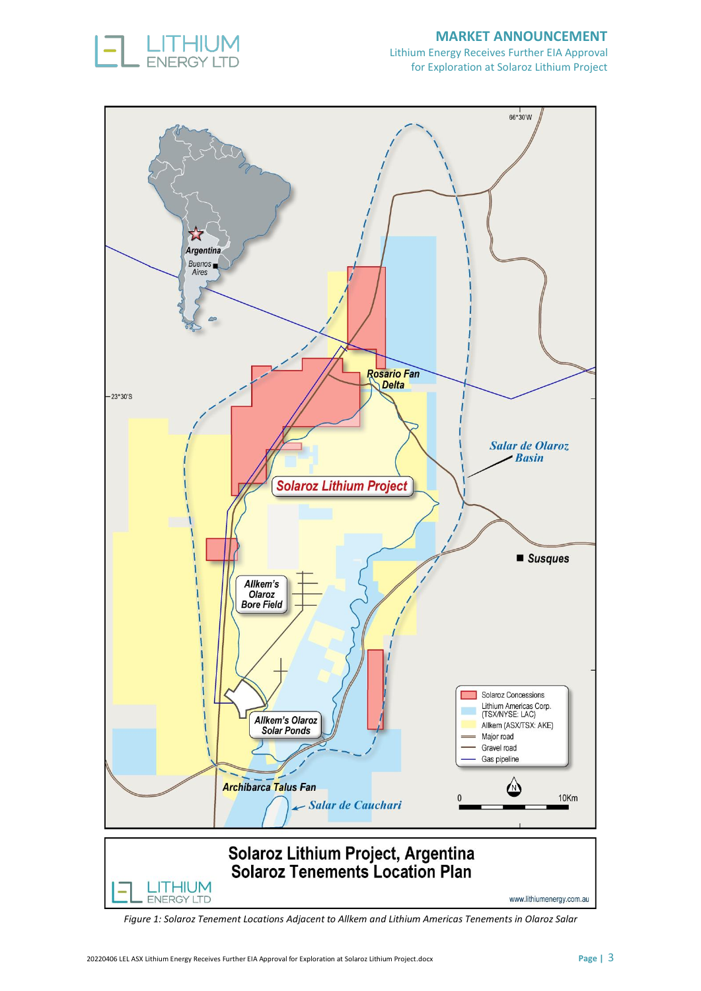

#### **MARKET ANNOUNCEMENT**

Lithium Energy Receives Further EIA Approval for Exploration at Solaroz Lithium Project



*Figure 1: Solaroz Tenement Locations Adjacent to Allkem and Lithium Americas Tenements in Olaroz Salar*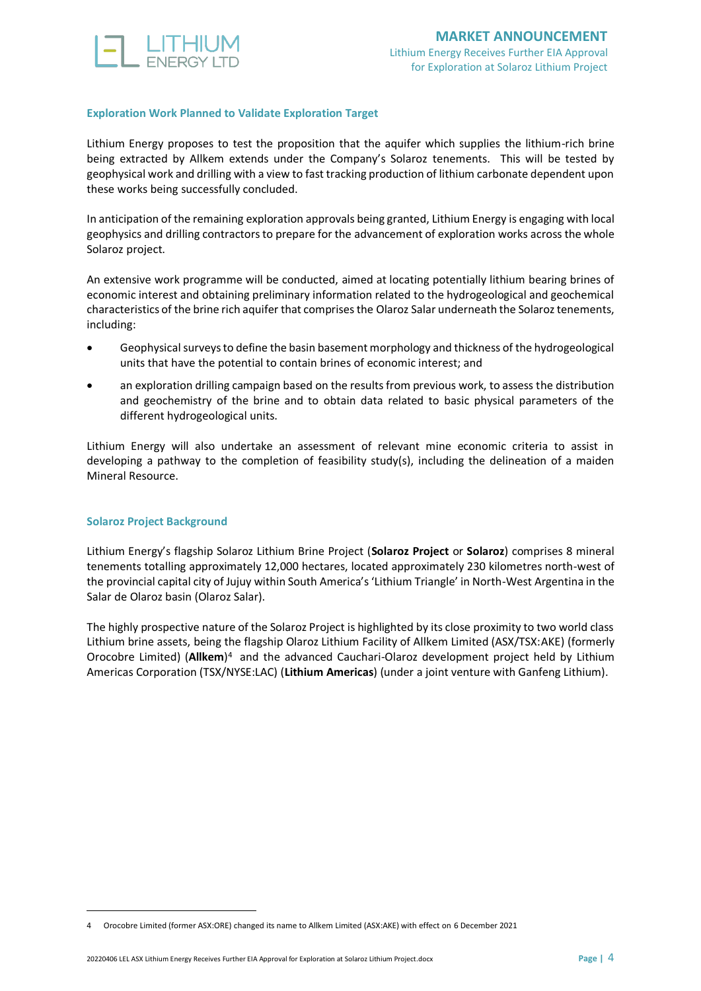

#### **Exploration Work Planned to Validate Exploration Target**

Lithium Energy proposes to test the proposition that the aquifer which supplies the lithium-rich brine being extracted by Allkem extends under the Company's Solaroz tenements. This will be tested by geophysical work and drilling with a view to fast tracking production of lithium carbonate dependent upon these works being successfully concluded.

In anticipation of the remaining exploration approvals being granted, Lithium Energy is engaging with local geophysics and drilling contractors to prepare for the advancement of exploration works across the whole Solaroz project.

An extensive work programme will be conducted, aimed at locating potentially lithium bearing brines of economic interest and obtaining preliminary information related to the hydrogeological and geochemical characteristics of the brine rich aquifer that comprises the Olaroz Salar underneath the Solaroz tenements, including:

- Geophysical surveys to define the basin basement morphology and thickness of the hydrogeological units that have the potential to contain brines of economic interest; and
- an exploration drilling campaign based on the results from previous work, to assess the distribution and geochemistry of the brine and to obtain data related to basic physical parameters of the different hydrogeological units.

Lithium Energy will also undertake an assessment of relevant mine economic criteria to assist in developing a pathway to the completion of feasibility study(s), including the delineation of a maiden Mineral Resource.

#### **Solaroz Project Background**

Lithium Energy's flagship Solaroz Lithium Brine Project (**Solaroz Project** or **Solaroz**) comprises 8 mineral tenements totalling approximately 12,000 hectares, located approximately 230 kilometres north-west of the provincial capital city of Jujuy within South America's 'Lithium Triangle' in North-West Argentina in the Salar de Olaroz basin (Olaroz Salar).

The highly prospective nature of the Solaroz Project is highlighted by its close proximity to two world class Lithium brine assets, being the flagship Olaroz Lithium Facility of Allkem Limited (ASX/TSX[:AKE\)](http://www.asx.com.au/asx/share-price-research/company/AKE) (formerly Orocobre Limited) (**Allkem**) <sup>4</sup> and the advanced Cauchari-Olaroz development project held by Lithium Americas Corporation (TSX/NYSE:LAC) (**Lithium Americas**) (under a joint venture with Ganfeng Lithium).

<sup>4</sup> Orocobre Limited (former ASX:ORE) changed its name to Allkem Limited (ASX:AKE) with effect on 6 [December 2021](https://cdn-api.markitdigital.com/apiman-gateway/ASX/asx-research/1.0/file/2924-02462736-2A1343856?access_token=83ff96335c2d45a094df02a206a39ff4)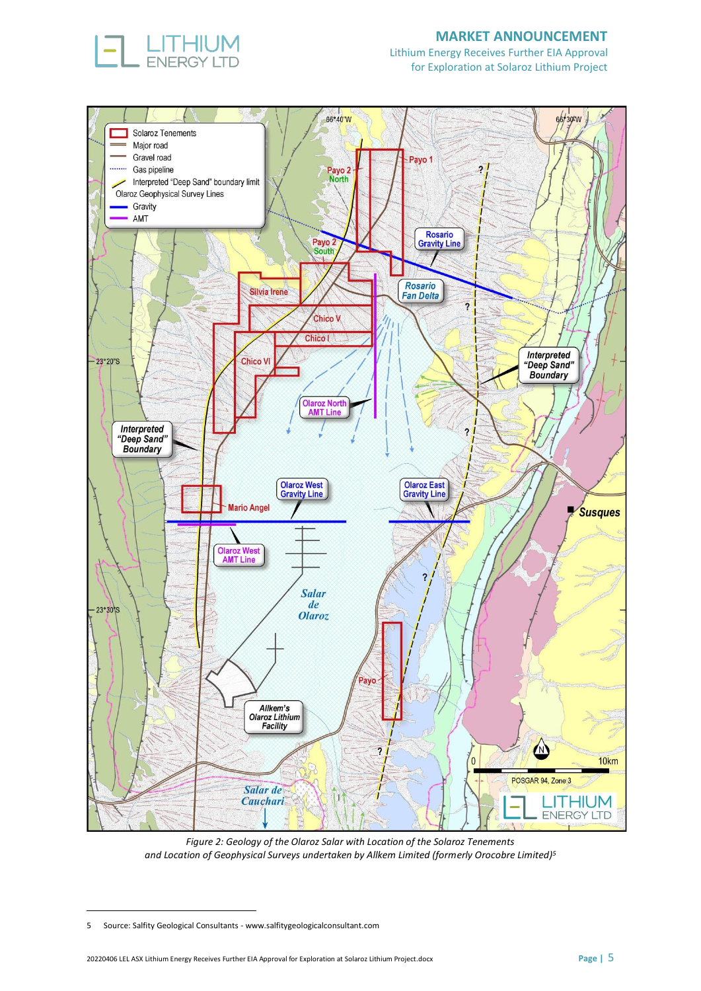

#### **MARKET ANNOUNCEMENT**

Lithium Energy Receives Further EIA Approval for Exploration at Solaroz Lithium Project



*Figure 2: Geology of the Olaroz Salar with Location of the Solaroz Tenements and Location of Geophysical Surveys undertaken by Allkem Limited (formerly Orocobre Limited)<sup>5</sup>*

<sup>5</sup> Source: Salfity Geological Consultants - [www.salfitygeologicalconsultant.com](http://www.salfitygeologicalconsultant.com/)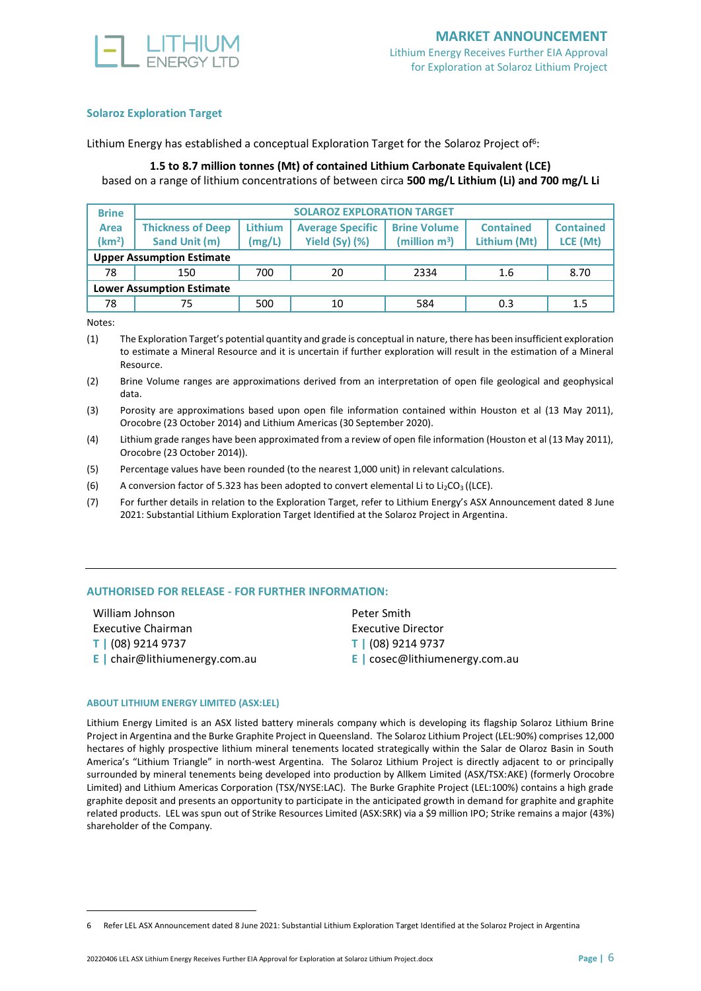

#### **Solaroz Exploration Target**

Lithium Energy has established a conceptual Exploration Target for the Solaroz Project of<sup>6</sup>:

#### **1.5 to 8.7 million tonnes (Mt) of contained Lithium Carbonate Equivalent (LCE)** based on a range of lithium concentrations of between circa **500 mg/L Lithium (Li) and 700 mg/L Li**

| <b>Brine</b>                     | <b>SOLAROZ EXPLORATION TARGET</b> |                |                         |                     |                  |                  |  |
|----------------------------------|-----------------------------------|----------------|-------------------------|---------------------|------------------|------------------|--|
| Area                             | <b>Thickness of Deep</b>          | <b>Lithium</b> | <b>Average Specific</b> | <b>Brine Volume</b> | <b>Contained</b> | <b>Contained</b> |  |
| (km <sup>2</sup> )               | Sand Unit (m)                     | (mg/L)         | Yield $(Sy)$ $(\%)$     | (million $m^3$ )    | Lithium (Mt)     | LCE (Mt)         |  |
| <b>Upper Assumption Estimate</b> |                                   |                |                         |                     |                  |                  |  |
| 78                               | 150                               | 700            | 20                      | 2334                | 1.6              | 8.70             |  |
| <b>Lower Assumption Estimate</b> |                                   |                |                         |                     |                  |                  |  |
| 78                               | 75                                | 500            | 10                      | 584                 | 0.3              | 1.5              |  |

Notes:

(1) The Exploration Target's potential quantity and grade is conceptual in nature, there has been insufficient exploration to estimate a Mineral Resource and it is uncertain if further exploration will result in the estimation of a Mineral Resource.

(2) Brine Volume ranges are approximations derived from an interpretation of open file geological and geophysical data.

(3) Porosity are approximations based upon open file information contained within Houston et al (13 May 2011), Orocobre (23 October 2014) and Lithium Americas (30 September 2020).

(4) Lithium grade ranges have been approximated from a review of open file information (Houston et al (13 May 2011), Orocobre (23 October 2014)).

(5) Percentage values have been rounded (to the nearest 1,000 unit) in relevant calculations.

(6) A conversion factor of 5.323 has been adopted to convert elemental Li to Li<sub>2</sub>CO<sub>3</sub> ((LCE).

(7) For further details in relation to the Exploration Target, refer to Lithium Energy's ASX Announcement dated [8 June](https://www.asx.com.au/asx/statistics/displayAnnouncement.do?display=pdf&idsId=02382704)  [2021: Substantial Lithium Exploration Target Identified at the Solaroz Project in Argentina.](https://www.asx.com.au/asx/statistics/displayAnnouncement.do?display=pdf&idsId=02382704)

#### **AUTHORISED FOR RELEASE - FOR FURTHER INFORMATION:**

| William Johnson                     | Peter Smith                             |
|-------------------------------------|-----------------------------------------|
| Executive Chairman                  | Executive Director                      |
| T   (08) 9214 9737                  | T   (08) 9214 9737                      |
| <b>E</b> chair@lithiumenergy.com.au | <b>E</b> $\cos$ ec@lithiumenergy.com.au |

#### **ABOU[T LITHIUM ENERGY LIMITED](https://www.lithiumenergy.com.au/) (AS[X:LEL\)](http://www.asx.com.au/asx/share-price-research/company/LEL)**

[Lithium](https://www.lithiumenergy.com.au/) Energy Limited is an ASX listed battery minerals company which is developing its flagship Solaroz [Lithium](https://www.lithiumenergy.com.au/solaroz-lithium-brine-project) Brine [Project](https://www.lithiumenergy.com.au/solaroz-lithium-brine-project) in Argentina and the [Burke Graphite Project](https://www.lithiumenergy.com.au/solaroz-lithium-brine-project) in Queensland. The Solaroz Lithium Project (LEL:90%) comprises 12,000 hectares of highly prospective lithium mineral tenements located strategically within the Salar de Olaroz Basin in South America's "Lithium Triangle" in north-west Argentina. The Solaroz Lithium Project is directly adjacent to or principally surrounded by mineral tenements being developed into production by Allkem Limited (ASX/TS[X:AKE\)](http://www.asx.com.au/asx/share-price-research/company/AKE) (formerly Orocobre Limited) and Lithium Americas Corporation (TSX/NYSE:LAC). The Burke Graphite Project (LEL:100%) contains a high grade graphite deposit and presents an opportunity to participate in the anticipated growth in demand for graphite and graphite related products. LEL was spun out of Strike Resources Limited (AS[X:SRK\)](http://www.asx.com.au/asx/share-price-research/company/SRK) via a \$9 million IPO; Strike remains a major (43%) shareholder of the Company.

<sup>6</sup> Refer LEL ASX Announcement date[d 8 June 2021: Substantial Lithium Exploration Target Identified at the Solaroz Project in Argentina](https://www.asx.com.au/asx/statistics/displayAnnouncement.do?display=pdf&idsId=02382704)